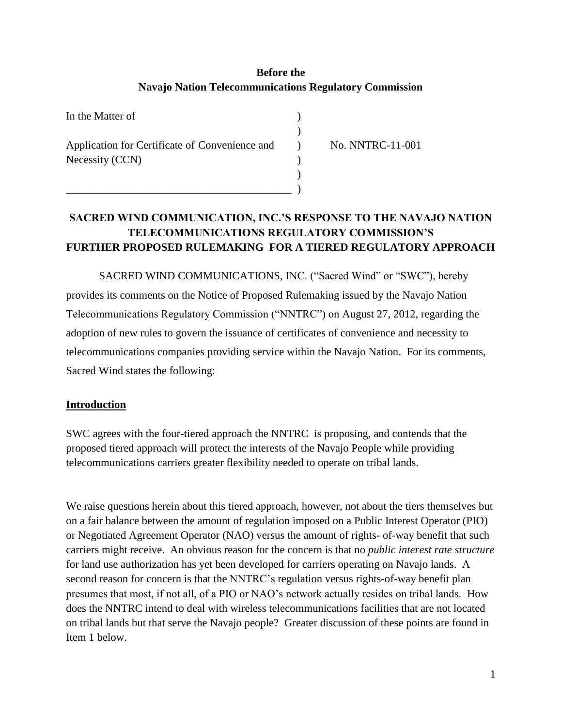# **Before the Navajo Nation Telecommunications Regulatory Commission**

| In the Matter of                                                  |  |
|-------------------------------------------------------------------|--|
| Application for Certificate of Convenience and<br>Necessity (CCN) |  |
|                                                                   |  |
|                                                                   |  |
|                                                                   |  |

) No. NNTRC-11-001

# **SACRED WIND COMMUNICATION, INC.'S RESPONSE TO THE NAVAJO NATION TELECOMMUNICATIONS REGULATORY COMMISSION'S FURTHER PROPOSED RULEMAKING FOR A TIERED REGULATORY APPROACH**

SACRED WIND COMMUNICATIONS, INC. ("Sacred Wind" or "SWC"), hereby provides its comments on the Notice of Proposed Rulemaking issued by the Navajo Nation Telecommunications Regulatory Commission ("NNTRC") on August 27, 2012, regarding the adoption of new rules to govern the issuance of certificates of convenience and necessity to telecommunications companies providing service within the Navajo Nation. For its comments, Sacred Wind states the following:

#### **Introduction**

SWC agrees with the four-tiered approach the NNTRC is proposing, and contends that the proposed tiered approach will protect the interests of the Navajo People while providing telecommunications carriers greater flexibility needed to operate on tribal lands.

We raise questions herein about this tiered approach, however, not about the tiers themselves but on a fair balance between the amount of regulation imposed on a Public Interest Operator (PIO) or Negotiated Agreement Operator (NAO) versus the amount of rights- of-way benefit that such carriers might receive. An obvious reason for the concern is that no *public interest rate structure* for land use authorization has yet been developed for carriers operating on Navajo lands. A second reason for concern is that the NNTRC's regulation versus rights-of-way benefit plan presumes that most, if not all, of a PIO or NAO's network actually resides on tribal lands. How does the NNTRC intend to deal with wireless telecommunications facilities that are not located on tribal lands but that serve the Navajo people? Greater discussion of these points are found in Item 1 below.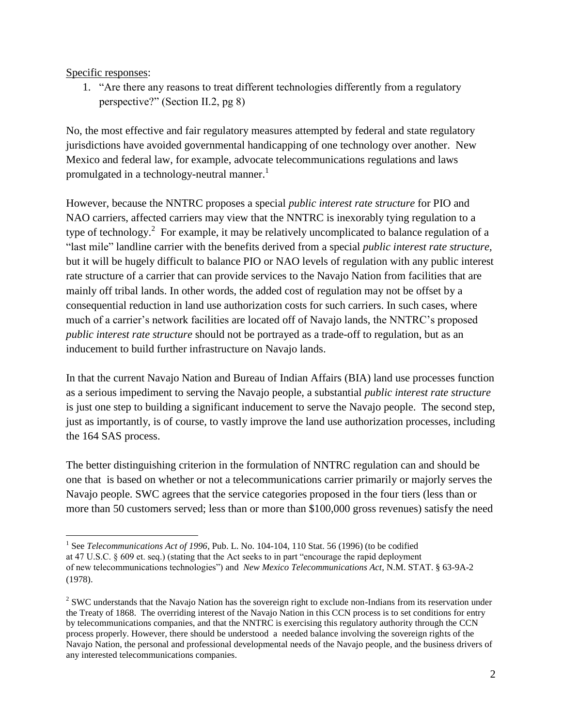Specific responses:

1. "Are there any reasons to treat different technologies differently from a regulatory perspective?" (Section II.2, pg 8)

No, the most effective and fair regulatory measures attempted by federal and state regulatory jurisdictions have avoided governmental handicapping of one technology over another. New Mexico and federal law, for example, advocate telecommunications regulations and laws promulgated in a technology-neutral manner.<sup>1</sup>

However, because the NNTRC proposes a special *public interest rate structure* for PIO and NAO carriers, affected carriers may view that the NNTRC is inexorably tying regulation to a type of technology.<sup>2</sup> For example, it may be relatively uncomplicated to balance regulation of a "last mile" landline carrier with the benefits derived from a special *public interest rate structure,* but it will be hugely difficult to balance PIO or NAO levels of regulation with any public interest rate structure of a carrier that can provide services to the Navajo Nation from facilities that are mainly off tribal lands. In other words, the added cost of regulation may not be offset by a consequential reduction in land use authorization costs for such carriers. In such cases, where much of a carrier's network facilities are located off of Navajo lands, the NNTRC's proposed *public interest rate structure* should not be portrayed as a trade-off to regulation, but as an inducement to build further infrastructure on Navajo lands.

In that the current Navajo Nation and Bureau of Indian Affairs (BIA) land use processes function as a serious impediment to serving the Navajo people, a substantial *public interest rate structure* is just one step to building a significant inducement to serve the Navajo people. The second step, just as importantly, is of course, to vastly improve the land use authorization processes, including the 164 SAS process.

The better distinguishing criterion in the formulation of NNTRC regulation can and should be one that is based on whether or not a telecommunications carrier primarily or majorly serves the Navajo people. SWC agrees that the service categories proposed in the four tiers (less than or more than 50 customers served; less than or more than \$100,000 gross revenues) satisfy the need

 $\overline{a}$ <sup>1</sup> See *Telecommunications Act of 1996*, Pub. L. No. 104-104, 110 Stat. 56 (1996) (to be codified at 47 U.S.C. § 609 et. seq.) (stating that the Act seeks to in part "encourage the rapid deployment of new telecommunications technologies") and *New Mexico Telecommunications Act*, N.M. STAT. § 63-9A-2 (1978).

 $2^{2}$  SWC understands that the Navajo Nation has the sovereign right to exclude non-Indians from its reservation under the Treaty of 1868. The overriding interest of the Navajo Nation in this CCN process is to set conditions for entry by telecommunications companies, and that the NNTRC is exercising this regulatory authority through the CCN process properly. However, there should be understood a needed balance involving the sovereign rights of the Navajo Nation, the personal and professional developmental needs of the Navajo people, and the business drivers of any interested telecommunications companies.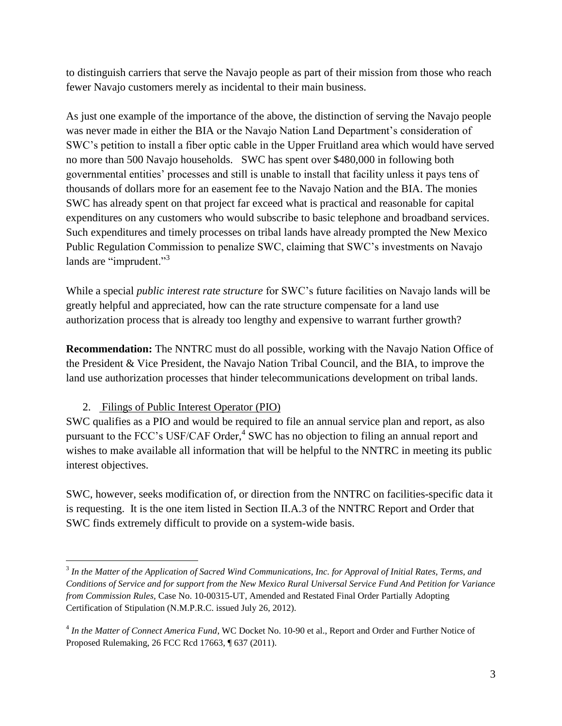to distinguish carriers that serve the Navajo people as part of their mission from those who reach fewer Navajo customers merely as incidental to their main business.

As just one example of the importance of the above, the distinction of serving the Navajo people was never made in either the BIA or the Navajo Nation Land Department's consideration of SWC's petition to install a fiber optic cable in the Upper Fruitland area which would have served no more than 500 Navajo households. SWC has spent over \$480,000 in following both governmental entities' processes and still is unable to install that facility unless it pays tens of thousands of dollars more for an easement fee to the Navajo Nation and the BIA. The monies SWC has already spent on that project far exceed what is practical and reasonable for capital expenditures on any customers who would subscribe to basic telephone and broadband services. Such expenditures and timely processes on tribal lands have already prompted the New Mexico Public Regulation Commission to penalize SWC, claiming that SWC's investments on Navajo lands are "imprudent."<sup>3</sup>

While a special *public interest rate structure* for SWC's future facilities on Navajo lands will be greatly helpful and appreciated, how can the rate structure compensate for a land use authorization process that is already too lengthy and expensive to warrant further growth?

**Recommendation:** The NNTRC must do all possible, working with the Navajo Nation Office of the President & Vice President, the Navajo Nation Tribal Council, and the BIA, to improve the land use authorization processes that hinder telecommunications development on tribal lands.

#### 2. Filings of Public Interest Operator (PIO)

 $\overline{a}$ 

SWC qualifies as a PIO and would be required to file an annual service plan and report, as also pursuant to the FCC's USF/CAF Order,<sup>4</sup> SWC has no objection to filing an annual report and wishes to make available all information that will be helpful to the NNTRC in meeting its public interest objectives.

SWC, however, seeks modification of, or direction from the NNTRC on facilities-specific data it is requesting. It is the one item listed in Section II.A.3 of the NNTRC Report and Order that SWC finds extremely difficult to provide on a system-wide basis.

<sup>3</sup> *In the Matter of the Application of Sacred Wind Communications, Inc. for Approval of Initial Rates, Terms, and Conditions of Service and for support from the New Mexico Rural Universal Service Fund And Petition for Variance from Commission Rules,* Case No. 10-00315-UT, Amended and Restated Final Order Partially Adopting Certification of Stipulation (N.M.P.R.C. issued July 26, 2012).

<sup>4</sup> *In the Matter of Connect America Fund*, WC Docket No. 10-90 et al., Report and Order and Further Notice of Proposed Rulemaking, 26 FCC Rcd 17663, ¶ 637 (2011).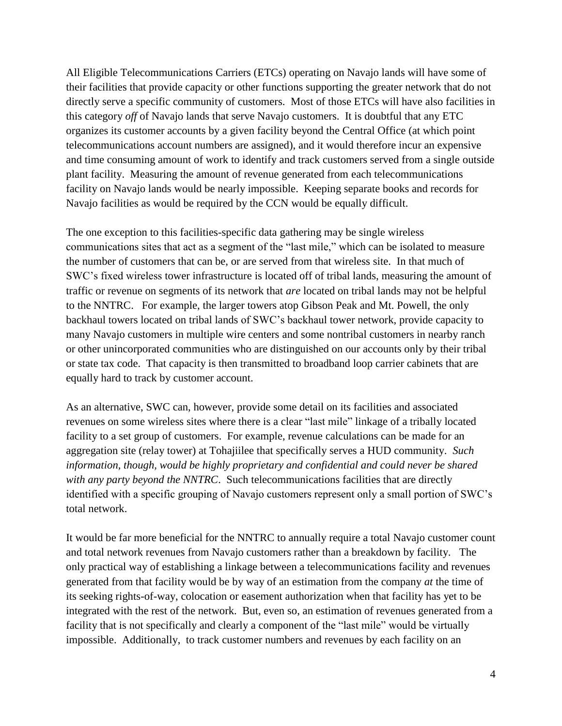All Eligible Telecommunications Carriers (ETCs) operating on Navajo lands will have some of their facilities that provide capacity or other functions supporting the greater network that do not directly serve a specific community of customers. Most of those ETCs will have also facilities in this category *off* of Navajo lands that serve Navajo customers. It is doubtful that any ETC organizes its customer accounts by a given facility beyond the Central Office (at which point telecommunications account numbers are assigned), and it would therefore incur an expensive and time consuming amount of work to identify and track customers served from a single outside plant facility. Measuring the amount of revenue generated from each telecommunications facility on Navajo lands would be nearly impossible. Keeping separate books and records for Navajo facilities as would be required by the CCN would be equally difficult.

The one exception to this facilities-specific data gathering may be single wireless communications sites that act as a segment of the "last mile," which can be isolated to measure the number of customers that can be, or are served from that wireless site. In that much of SWC's fixed wireless tower infrastructure is located off of tribal lands, measuring the amount of traffic or revenue on segments of its network that *are* located on tribal lands may not be helpful to the NNTRC. For example, the larger towers atop Gibson Peak and Mt. Powell, the only backhaul towers located on tribal lands of SWC's backhaul tower network, provide capacity to many Navajo customers in multiple wire centers and some nontribal customers in nearby ranch or other unincorporated communities who are distinguished on our accounts only by their tribal or state tax code. That capacity is then transmitted to broadband loop carrier cabinets that are equally hard to track by customer account.

As an alternative, SWC can, however, provide some detail on its facilities and associated revenues on some wireless sites where there is a clear "last mile" linkage of a tribally located facility to a set group of customers. For example, revenue calculations can be made for an aggregation site (relay tower) at Tohajiilee that specifically serves a HUD community. *Such information, though, would be highly proprietary and confidential and could never be shared with any party beyond the NNTRC*. Such telecommunications facilities that are directly identified with a specific grouping of Navajo customers represent only a small portion of SWC's total network.

It would be far more beneficial for the NNTRC to annually require a total Navajo customer count and total network revenues from Navajo customers rather than a breakdown by facility. The only practical way of establishing a linkage between a telecommunications facility and revenues generated from that facility would be by way of an estimation from the company *at* the time of its seeking rights-of-way, colocation or easement authorization when that facility has yet to be integrated with the rest of the network. But, even so, an estimation of revenues generated from a facility that is not specifically and clearly a component of the "last mile" would be virtually impossible. Additionally, to track customer numbers and revenues by each facility on an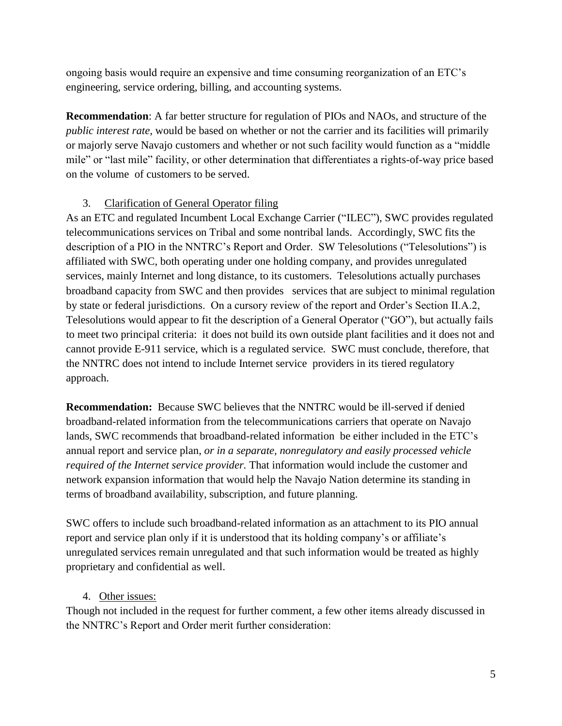ongoing basis would require an expensive and time consuming reorganization of an ETC's engineering, service ordering, billing, and accounting systems.

**Recommendation**: A far better structure for regulation of PIOs and NAOs, and structure of the *public interest rate,* would be based on whether or not the carrier and its facilities will primarily or majorly serve Navajo customers and whether or not such facility would function as a "middle mile" or "last mile" facility, or other determination that differentiates a rights-of-way price based on the volume of customers to be served.

## 3. Clarification of General Operator filing

As an ETC and regulated Incumbent Local Exchange Carrier ("ILEC"), SWC provides regulated telecommunications services on Tribal and some nontribal lands. Accordingly, SWC fits the description of a PIO in the NNTRC's Report and Order. SW Telesolutions ("Telesolutions") is affiliated with SWC, both operating under one holding company, and provides unregulated services, mainly Internet and long distance, to its customers. Telesolutions actually purchases broadband capacity from SWC and then provides services that are subject to minimal regulation by state or federal jurisdictions. On a cursory review of the report and Order's Section II.A.2, Telesolutions would appear to fit the description of a General Operator ("GO"), but actually fails to meet two principal criteria: it does not build its own outside plant facilities and it does not and cannot provide E-911 service, which is a regulated service. SWC must conclude, therefore, that the NNTRC does not intend to include Internet service providers in its tiered regulatory approach.

**Recommendation:** Because SWC believes that the NNTRC would be ill-served if denied broadband-related information from the telecommunications carriers that operate on Navajo lands, SWC recommends that broadband-related information be either included in the ETC's annual report and service plan, *or in a separate, nonregulatory and easily processed vehicle required of the Internet service provider.* That information would include the customer and network expansion information that would help the Navajo Nation determine its standing in terms of broadband availability, subscription, and future planning.

SWC offers to include such broadband-related information as an attachment to its PIO annual report and service plan only if it is understood that its holding company's or affiliate's unregulated services remain unregulated and that such information would be treated as highly proprietary and confidential as well.

4. Other issues:

Though not included in the request for further comment, a few other items already discussed in the NNTRC's Report and Order merit further consideration: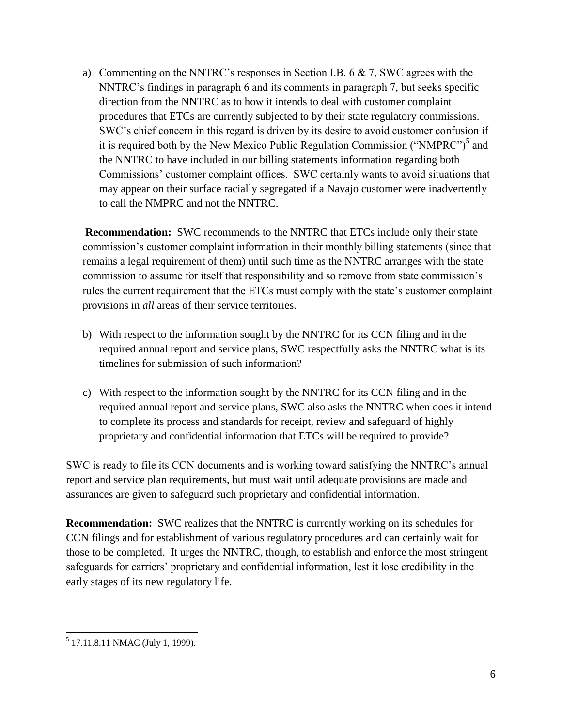a) Commenting on the NNTRC's responses in Section I.B. 6  $\& 7$ , SWC agrees with the NNTRC's findings in paragraph 6 and its comments in paragraph 7, but seeks specific direction from the NNTRC as to how it intends to deal with customer complaint procedures that ETCs are currently subjected to by their state regulatory commissions. SWC's chief concern in this regard is driven by its desire to avoid customer confusion if it is required both by the New Mexico Public Regulation Commission ("NMPRC")<sup>5</sup> and the NNTRC to have included in our billing statements information regarding both Commissions' customer complaint offices. SWC certainly wants to avoid situations that may appear on their surface racially segregated if a Navajo customer were inadvertently to call the NMPRC and not the NNTRC.

**Recommendation:** SWC recommends to the NNTRC that ETCs include only their state commission's customer complaint information in their monthly billing statements (since that remains a legal requirement of them) until such time as the NNTRC arranges with the state commission to assume for itself that responsibility and so remove from state commission's rules the current requirement that the ETCs must comply with the state's customer complaint provisions in *all* areas of their service territories.

- b) With respect to the information sought by the NNTRC for its CCN filing and in the required annual report and service plans, SWC respectfully asks the NNTRC what is its timelines for submission of such information?
- c) With respect to the information sought by the NNTRC for its CCN filing and in the required annual report and service plans, SWC also asks the NNTRC when does it intend to complete its process and standards for receipt, review and safeguard of highly proprietary and confidential information that ETCs will be required to provide?

SWC is ready to file its CCN documents and is working toward satisfying the NNTRC's annual report and service plan requirements, but must wait until adequate provisions are made and assurances are given to safeguard such proprietary and confidential information.

**Recommendation:** SWC realizes that the NNTRC is currently working on its schedules for CCN filings and for establishment of various regulatory procedures and can certainly wait for those to be completed. It urges the NNTRC, though, to establish and enforce the most stringent safeguards for carriers' proprietary and confidential information, lest it lose credibility in the early stages of its new regulatory life.

 5 17.11.8.11 NMAC (July 1, 1999).